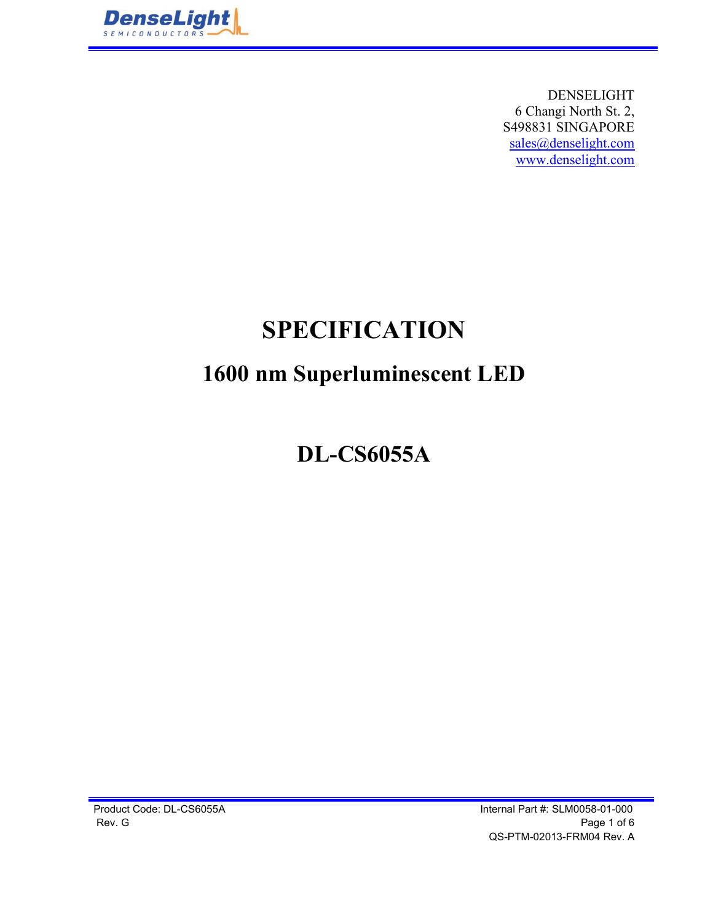

DENSELIGHT 6 Changi North St. 2, S498831 SINGAPORE sales@denselight.com www.denselight.com

# SPECIFICATION

# 1600 nm Superluminescent LED

# DL-CS6055A

Product Code: DL-CS6055A Internal Part #: SLM0058-01-000 Rev. G Page 1 of 6 QS-PTM-02013-FRM04 Rev. A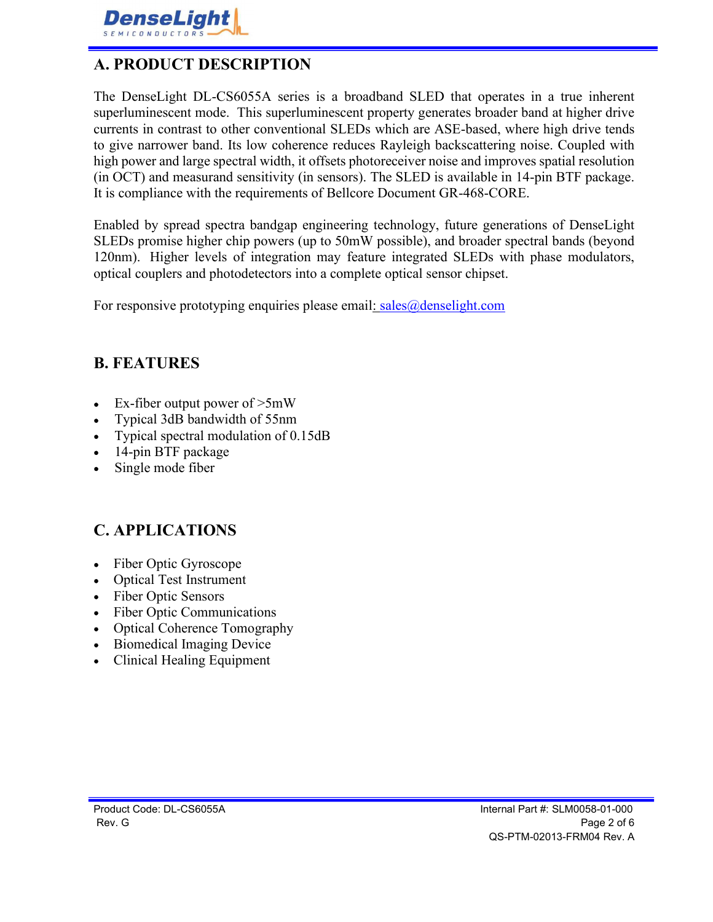

## A. PRODUCT DESCRIPTION

The DenseLight DL-CS6055A series is a broadband SLED that operates in a true inherent superluminescent mode. This superluminescent property generates broader band at higher drive currents in contrast to other conventional SLEDs which are ASE-based, where high drive tends to give narrower band. Its low coherence reduces Rayleigh backscattering noise. Coupled with high power and large spectral width, it offsets photoreceiver noise and improves spatial resolution (in OCT) and measurand sensitivity (in sensors). The SLED is available in 14-pin BTF package. It is compliance with the requirements of Bellcore Document GR-468-CORE.

Enabled by spread spectra bandgap engineering technology, future generations of DenseLight SLEDs promise higher chip powers (up to 50mW possible), and broader spectral bands (beyond 120nm). Higher levels of integration may feature integrated SLEDs with phase modulators, optical couplers and photodetectors into a complete optical sensor chipset.

For responsive prototyping enquiries please email:  $sales@denselight.com$ 

### B. FEATURES

- Ex-fiber output power of >5mW  $\bullet$
- Typical 3dB bandwidth of 55nm
- Typical spectral modulation of 0.15dB
- 14-pin BTF package
- Single mode fiber

## C. APPLICATIONS

- Fiber Optic Gyroscope
- Optical Test Instrument
- Fiber Optic Sensors  $\bullet$
- Fiber Optic Communications
- Optical Coherence Tomography
- Biomedical Imaging Device
- Clinical Healing Equipment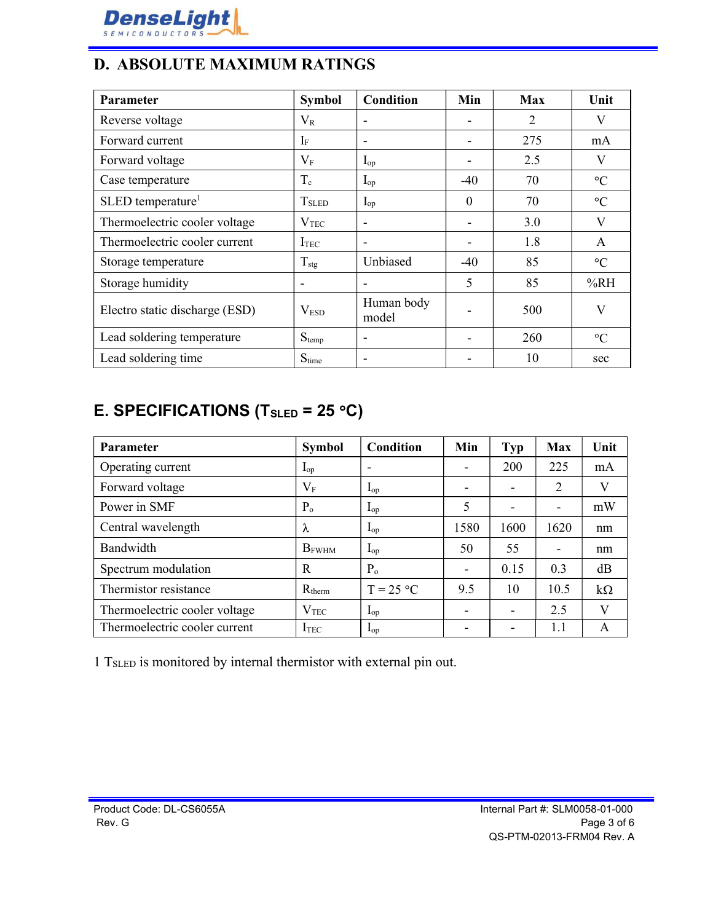

## D. ABSOLUTE MAXIMUM RATINGS

| Parameter                      | <b>Symbol</b>            | <b>Condition</b>         | Min                      | <b>Max</b> | Unit            |
|--------------------------------|--------------------------|--------------------------|--------------------------|------------|-----------------|
| Reverse voltage                | $V_{R}$                  | $\overline{\phantom{a}}$ | $\overline{\phantom{a}}$ | 2          | V               |
| Forward current                | $I_{\rm F}$              | $\overline{\phantom{a}}$ |                          | 275        | mA              |
| Forward voltage                | $V_{\rm F}$              | $I_{op}$                 |                          | 2.5        | V               |
| Case temperature               | $T_c$                    | $I_{op}$                 | $-40$                    | 70         | $\rm ^{\circ}C$ |
| SLED temperature <sup>1</sup>  | <b>T</b> <sub>SLED</sub> | $I_{op}$                 | $\mathbf{0}$             | 70         | $\rm ^{\circ}C$ |
| Thermoelectric cooler voltage  | $\rm V_{TEC}$            | $\overline{\phantom{a}}$ |                          | 3.0        | V               |
| Thermoelectric cooler current  | ITEC                     | $\overline{\phantom{a}}$ |                          | 1.8        | $\mathsf{A}$    |
| Storage temperature            | $T_{\text{stg}}$         | Unbiased                 | $-40$                    | 85         | $\rm ^{\circ}C$ |
| Storage humidity               | $\overline{\phantom{a}}$ | $\blacksquare$           | 5                        | 85         | %RH             |
| Electro static discharge (ESD) | V <sub>ESD</sub>         | Human body<br>model      |                          | 500        | V               |
| Lead soldering temperature     | $S_{temp}$               | $\overline{\phantom{a}}$ |                          | 260        | $\rm ^{\circ}C$ |
| Lead soldering time            | $S_{time}$               | $\overline{\phantom{a}}$ |                          | 10         | sec             |

## E. SPECIFICATIONS (T<sub>SLED</sub> = 25 °C)

| <b>Parameter</b>              | <b>Symbol</b>            | Condition                | Min                      | <b>Typ</b> | <b>Max</b>               | Unit         |
|-------------------------------|--------------------------|--------------------------|--------------------------|------------|--------------------------|--------------|
| Operating current             | $\mathbf{L}_{\text{op}}$ | $\overline{\phantom{a}}$ | $\overline{\phantom{0}}$ | 200        | 225                      | mA           |
| Forward voltage               | $V_{\rm F}$              | $\mathbf{I}_{op}$        | $\overline{\phantom{a}}$ | -          | $\overline{2}$           | V            |
| Power in SMF                  | $P_{o}$                  | $\mathbf{I}_{op}$        | 5                        | -          | $\blacksquare$           | mW           |
| Central wavelength            | $\lambda$                | $\mathbf{I}_{\text{op}}$ | 1580                     | 1600       | 1620                     | nm           |
| Bandwidth                     | $B_{FWHM}$               | $\mathbf{I}_{\text{op}}$ | 50                       | 55         | $\overline{\phantom{a}}$ | nm           |
| Spectrum modulation           | R                        | $P_{o}$                  | $\overline{\phantom{a}}$ | 0.15       | 0.3                      | dB           |
| Thermistor resistance         | $R_{therm}$              | $T = 25 °C$              | 9.5                      | 10         | 10.5                     | $k\Omega$    |
| Thermoelectric cooler voltage | V <sub>TEC</sub>         | $\mathbf{L}_{op}$        | $\overline{\phantom{a}}$ | -          | 2.5                      | $\mathbf{V}$ |
| Thermoelectric cooler current | $I_{TEC}$                | $\mathbf{I}_{op}$        | -                        |            | 1.1                      | A            |

1 TSLED is monitored by internal thermistor with external pin out.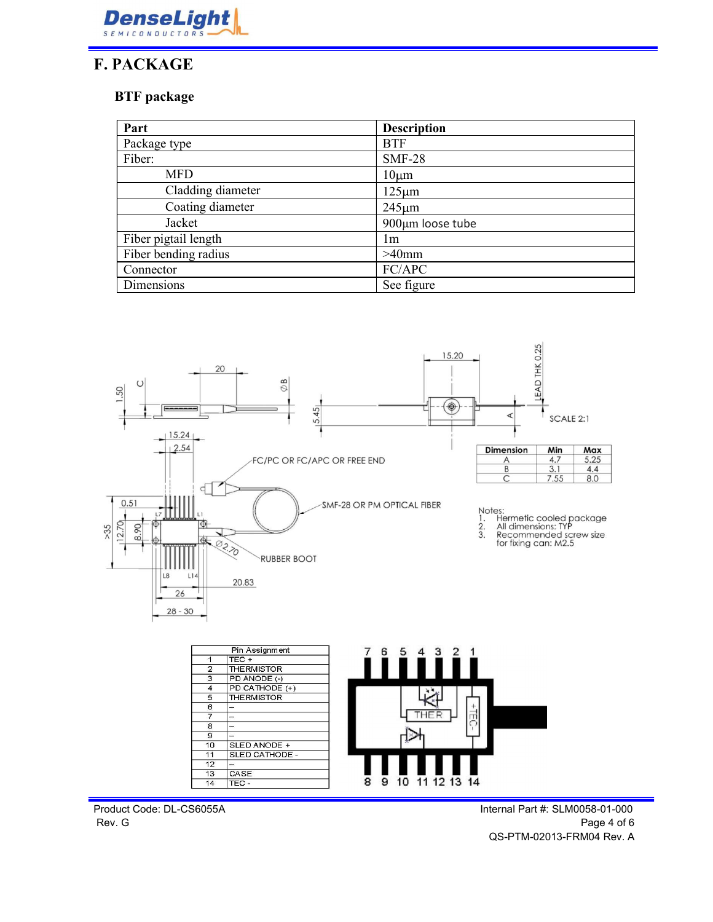

## F. PACKAGE

### BTF package

| Part                 | <b>Description</b> |  |
|----------------------|--------------------|--|
| Package type         | <b>BTF</b>         |  |
| Fiber:               | <b>SMF-28</b>      |  |
| <b>MFD</b>           | $10 \mu m$         |  |
| Cladding diameter    | $125 \mu m$        |  |
| Coating diameter     | $245 \mu m$        |  |
| Jacket               | 900µm loose tube   |  |
| Fiber pigtail length | lm                 |  |
| Fiber bending radius | $>40$ mm           |  |
| Connector            | FC/APC             |  |
| Dimensions           | See figure         |  |



| 2  | <b>THE RMISTOR</b> |                          |
|----|--------------------|--------------------------|
| 3  | PD ANODE (-)       |                          |
| 4  | PD CATHODE (+)     |                          |
| 5  | <b>THE RMISTOR</b> |                          |
| 6  |                    |                          |
|    |                    |                          |
| 8  |                    |                          |
| 9  |                    |                          |
| 10 | SLED ANODE +       |                          |
| 11 | SLED CATHODE -     |                          |
| 12 |                    |                          |
| 13 | CASE               |                          |
| 14 | TEC -              | 10 11 12 13 14<br>я<br>9 |
|    |                    |                          |

Product Code: DL-CS6055A **Internal Part #: SLM0058-01-000** Rev. G Page 4 of 6 QS-PTM-02013-FRM04 Rev. A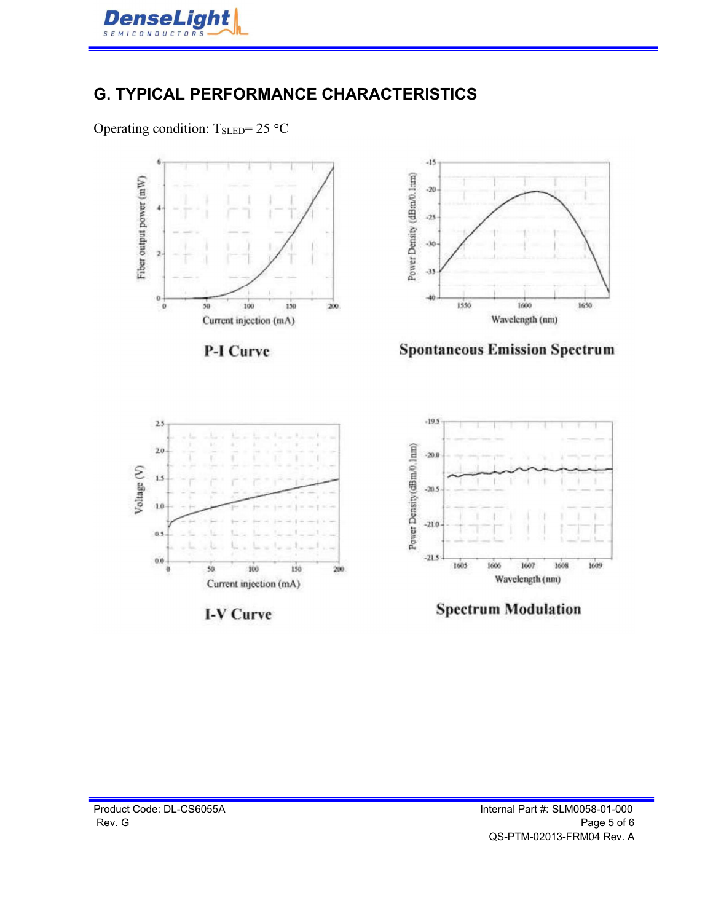

## G. TYPICAL PERFORMANCE CHARACTERISTICS

Operating condition:  $T_{SLED} = 25 °C$ 



P-I Curve



### **Spontaneous Emission Spectrum**





**Spectrum Modulation**